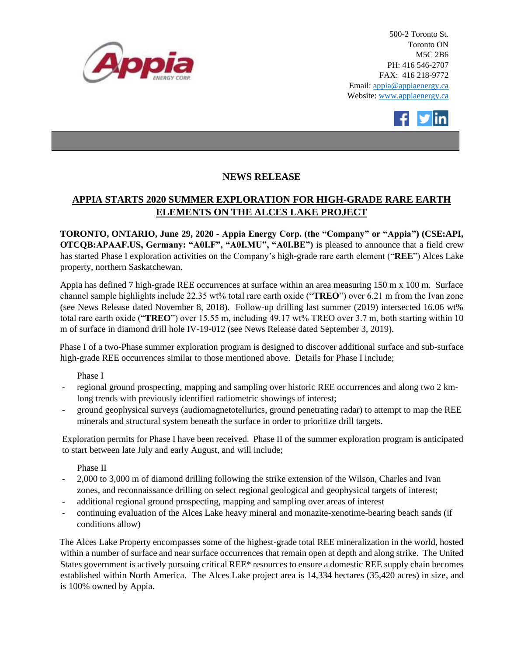

500-2 Toronto St. Toronto ON M5C 2B6 PH: 416 546-2707 FAX: 416 218-9772 Email: appia@appiaenergy.ca Website: www.appiaenergy.ca



## **NEWS RELEASE**

## **APPIA STARTS 2020 SUMMER EXPLORATION FOR HIGH-GRADE RARE EARTH ELEMENTS ON THE ALCES LAKE PROJECT**

**TORONTO, ONTARIO, June 29, 2020 - Appia Energy Corp. (the "Company" or "Appia") (CSE:API, OTCQB:APAAF.US, Germany: "A0I.F", "A0I.MU", "A0I.BE")** is pleased to announce that a field crew has started Phase I exploration activities on the Company's high-grade rare earth element ("**REE**") Alces Lake property, northern Saskatchewan.

Appia has defined 7 high-grade REE occurrences at surface within an area measuring 150 m x 100 m. Surface channel sample highlights include 22.35 wt% total rare earth oxide ("**TREO**") over 6.21 m from the Ivan zone (see News Release dated November 8, 2018). Follow-up drilling last summer (2019) intersected 16.06 wt% total rare earth oxide ("**TREO**") over 15.55 m, including 49.17 wt% TREO over 3.7 m, both starting within 10 m of surface in diamond drill hole IV-19-012 (see News Release dated September 3, 2019).

Phase I of a two-Phase summer exploration program is designed to discover additional surface and sub-surface high-grade REE occurrences similar to those mentioned above. Details for Phase I include;

Phase I

- regional ground prospecting, mapping and sampling over historic REE occurrences and along two 2 kmlong trends with previously identified radiometric showings of interest;
- ground geophysical surveys (audiomagnetotellurics, ground penetrating radar) to attempt to map the REE minerals and structural system beneath the surface in order to prioritize drill targets.

Exploration permits for Phase I have been received. Phase II of the summer exploration program is anticipated to start between late July and early August, and will include;

Phase II

- 2,000 to 3,000 m of diamond drilling following the strike extension of the Wilson, Charles and Ivan zones, and reconnaissance drilling on select regional geological and geophysical targets of interest;
- additional regional ground prospecting, mapping and sampling over areas of interest
- continuing evaluation of the Alces Lake heavy mineral and monazite-xenotime-bearing beach sands (if conditions allow)

The Alces Lake Property encompasses some of the highest-grade total REE mineralization in the world, hosted within a number of surface and near surface occurrences that remain open at depth and along strike. The United States government is actively pursuing critical REE\* resources to ensure a domestic REE supply chain becomes established within North America. The Alces Lake project area is 14,334 hectares (35,420 acres) in size, and is 100% owned by Appia.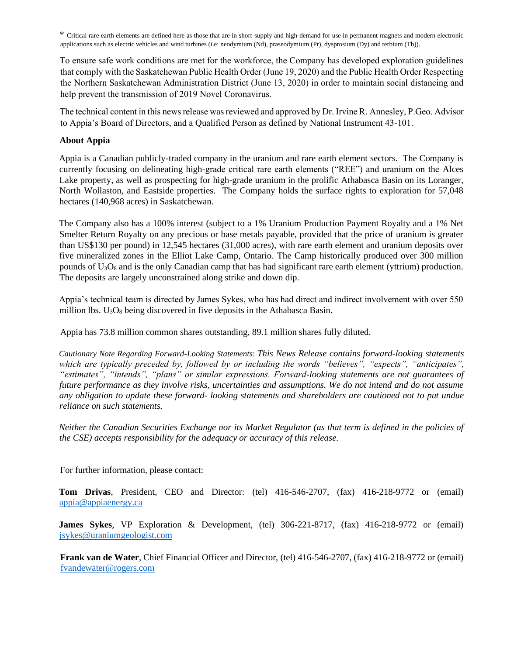\* Critical rare earth elements are defined here as those that are in short-supply and high-demand for use in permanent magnets and modern electronic applications such as electric vehicles and wind turbines (i.e: neodymium (Nd), praseodymium (Pr), dysprosium (Dy) and terbium (Tb)).

To ensure safe work conditions are met for the workforce, the Company has developed exploration guidelines that comply with the Saskatchewan Public Health Order (June 19, 2020) and the Public Health Order Respecting the Northern Saskatchewan Administration District (June 13, 2020) in order to maintain social distancing and help prevent the transmission of 2019 Novel Coronavirus.

The technical content in this news release was reviewed and approved by Dr. Irvine R. Annesley, P.Geo. Advisor to Appia's Board of Directors, and a Qualified Person as defined by National Instrument 43-101.

## **About Appia**

Appia is a Canadian publicly-traded company in the uranium and rare earth element sectors. The Company is currently focusing on delineating high-grade critical rare earth elements ("REE") and uranium on the Alces Lake property, as well as prospecting for high-grade uranium in the prolific Athabasca Basin on its Loranger, North Wollaston, and Eastside properties. The Company holds the surface rights to exploration for 57,048 hectares (140,968 acres) in Saskatchewan.

The Company also has a 100% interest (subject to a 1% Uranium Production Payment Royalty and a 1% Net Smelter Return Royalty on any precious or base metals payable, provided that the price of uranium is greater than US\$130 per pound) in 12,545 hectares (31,000 acres), with rare earth element and uranium deposits over five mineralized zones in the Elliot Lake Camp, Ontario. The Camp historically produced over 300 million pounds of  $U_3O_8$  and is the only Canadian camp that has had significant rare earth element (yttrium) production. The deposits are largely unconstrained along strike and down dip.

Appia's technical team is directed by James Sykes, who has had direct and indirect involvement with over 550 million lbs.  $U_3O_8$  being discovered in five deposits in the Athabasca Basin.

Appia has 73.8 million common shares outstanding, 89.1 million shares fully diluted.

*Cautionary Note Regarding Forward-Looking Statements*: *This News Release contains forward-looking statements which are typically preceded by, followed by or including the words "believes", "expects", "anticipates", "estimates", "intends", "plans" or similar expressions. Forward-looking statements are not guarantees of future performance as they involve risks, uncertainties and assumptions. We do not intend and do not assume any obligation to update these forward- looking statements and shareholders are cautioned not to put undue reliance on such statements.* 

*Neither the Canadian Securities Exchange nor its Market Regulator (as that term is defined in the policies of the CSE) accepts responsibility for the adequacy or accuracy of this release.* 

For further information, please contact:

**Tom Drivas**, President, CEO and Director: (tel) 416-546-2707, (fax) 416-218-9772 or (email) [appia@appiaenergy.ca](mailto:appia@appiaenergy.ca) 

**James Sykes**, VP Exploration & Development, (tel) 306-221-8717, (fax) 416-218-9772 or (email) [jsykes@uraniumgeologist.com](mailto:jsykes@uraniumgeologist.com) 

**Frank van de Water**, Chief Financial Officer and Director, (tel) 416-546-2707, (fax) 416-218-9772 or (email) [fvandewater@rogers.com](mailto:fvandewater@rogers.com)